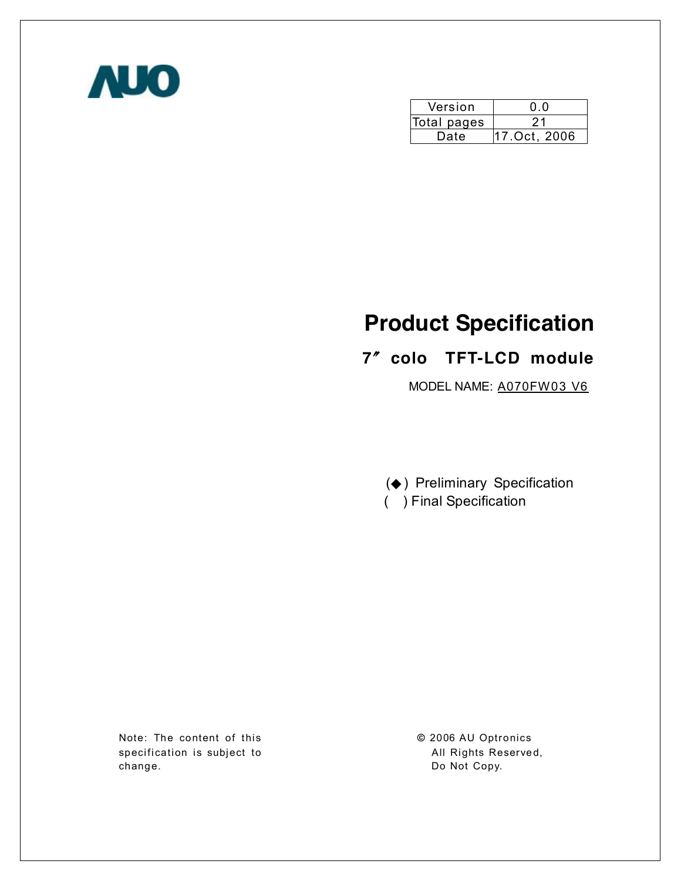

| Version     | 0.0          |
|-------------|--------------|
| Total pages | ソ1           |
| Date        | 17.Oct, 2006 |

# **Product Specification**

# **7**〞**colo TFT-LCD module**

MODEL NAME: A070FW03 V6

(◆ ) Preliminary Specification ( ) Final Specification

Note: The content of this specification is subject to change.

**©** 2006 AU Optronics All Rights Reserved, Do Not Copy.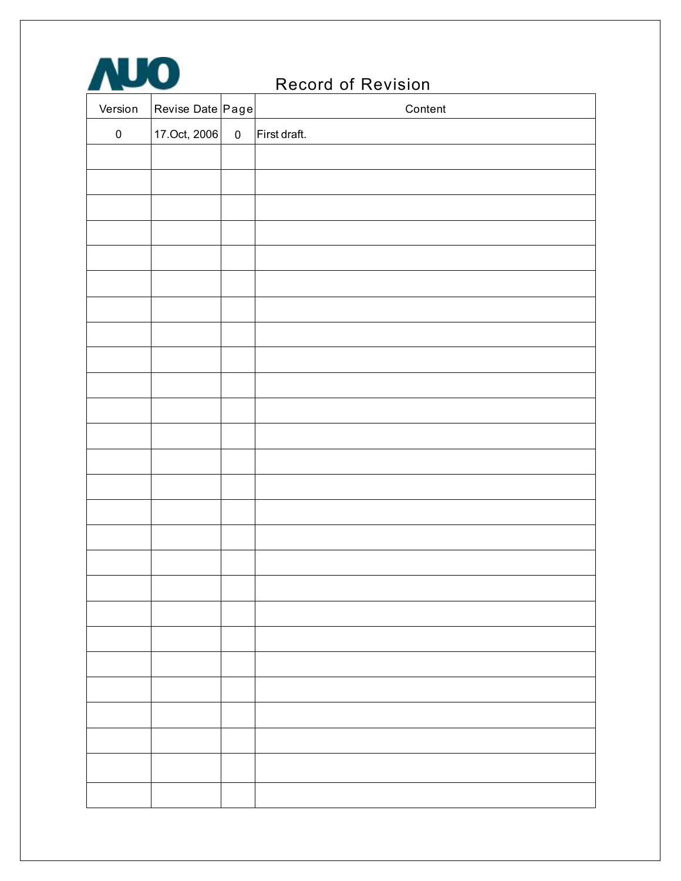# Record of Revision

| Version   | Revise Date Page |           | Content      |
|-----------|------------------|-----------|--------------|
| $\pmb{0}$ | 17.Oct, 2006     | $\pmb{0}$ | First draft. |
|           |                  |           |              |
|           |                  |           |              |
|           |                  |           |              |
|           |                  |           |              |
|           |                  |           |              |
|           |                  |           |              |
|           |                  |           |              |
|           |                  |           |              |
|           |                  |           |              |
|           |                  |           |              |
|           |                  |           |              |
|           |                  |           |              |
|           |                  |           |              |
|           |                  |           |              |
|           |                  |           |              |
|           |                  |           |              |
|           |                  |           |              |
|           |                  |           |              |
|           |                  |           |              |
|           |                  |           |              |
|           |                  |           |              |
|           |                  |           |              |
|           |                  |           |              |
|           |                  |           |              |
|           |                  |           |              |
|           |                  |           |              |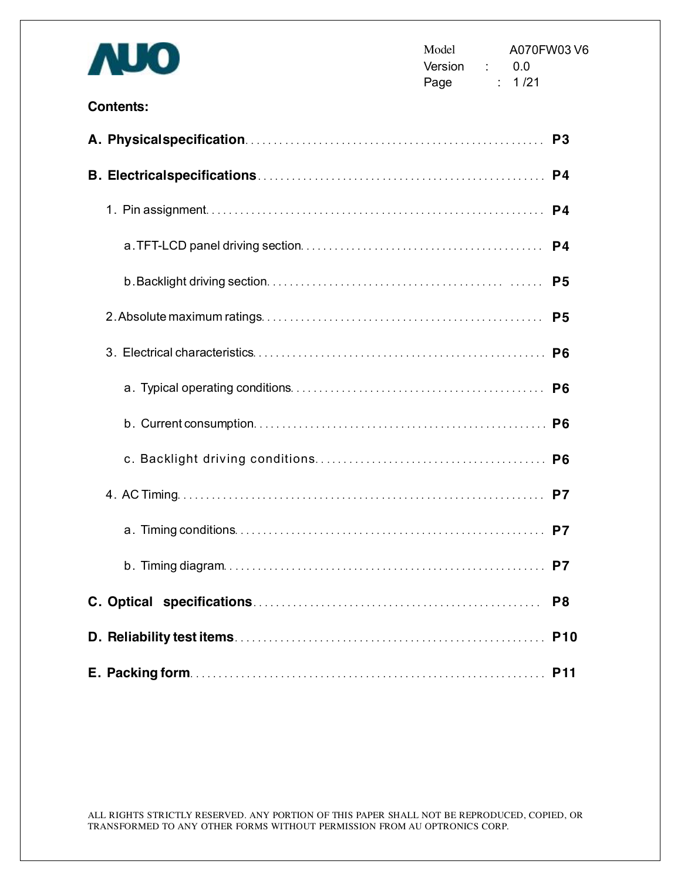| U O              | Model<br>A070FW03V6<br>Version :<br>0.0<br>Page : 1/21 |  |
|------------------|--------------------------------------------------------|--|
| <b>Contents:</b> |                                                        |  |
|                  | P <sub>3</sub>                                         |  |
|                  | P4                                                     |  |
|                  | P4                                                     |  |
|                  |                                                        |  |
|                  |                                                        |  |
|                  |                                                        |  |
|                  |                                                        |  |
|                  |                                                        |  |
|                  | P <sub>6</sub>                                         |  |
|                  |                                                        |  |
|                  |                                                        |  |
|                  |                                                        |  |
|                  | P7                                                     |  |
|                  | P <sub>8</sub>                                         |  |
|                  | <b>P10</b>                                             |  |
|                  | <b>P11</b>                                             |  |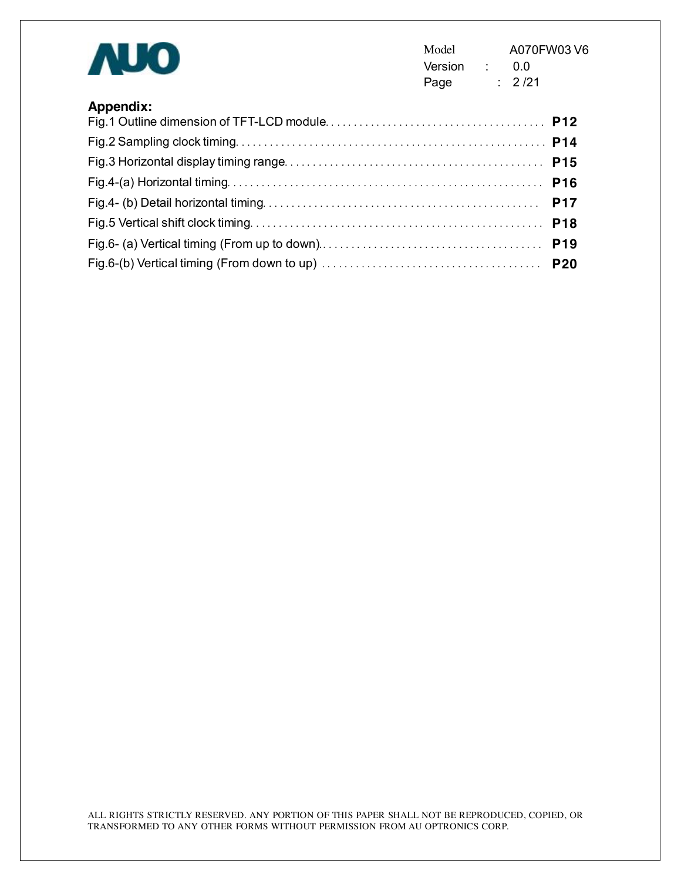| <b>AUO</b>       | Model<br>Version : 0.0<br>Page | A070FW03V6<br>: 2/21 |
|------------------|--------------------------------|----------------------|
| <b>Appendix:</b> |                                |                      |
|                  |                                |                      |
|                  |                                |                      |
|                  |                                |                      |
|                  |                                | <b>P17</b>           |
|                  |                                |                      |
|                  |                                |                      |
|                  |                                |                      |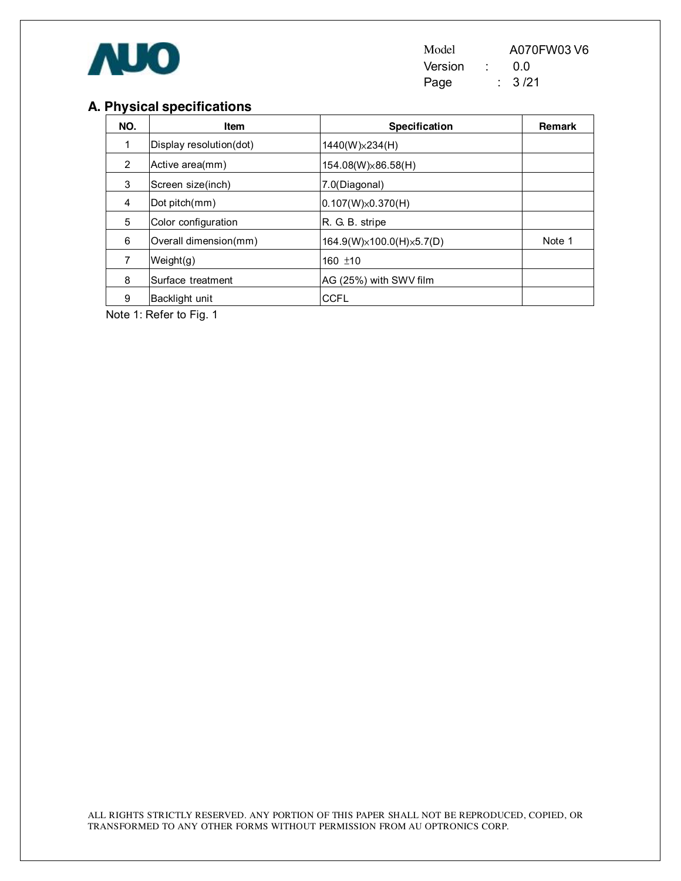

Model A070FW03 V6 Version : 0.0<br>Page : 3/21 Page

## **A. Physical specifications**

| NO. | Item                    | Specification              | <b>Remark</b> |
|-----|-------------------------|----------------------------|---------------|
| 1   | Display resolution(dot) | $1440(W)\times 234(H)$     |               |
| 2   | Active area(mm)         | 154.08(W)×86.58(H)         |               |
| 3   | Screen size(inch)       | 7.0(Diagonal)              |               |
| 4   | Dot pitch(mm)           | $ 0.107(W)\times0.370(H) $ |               |
| 5   | Color configuration     | R. G. B. stripe            |               |
| 6   | Overall dimension(mm)   | 164.9(W)×100.0(H)×5.7(D)   | Note 1        |
| 7   | Weight(g)               | 160 $±10$                  |               |
| 8   | Surface treatment       | AG (25%) with SWV film     |               |
| 9   | Backlight unit          | <b>CCFL</b>                |               |

Note 1: Refer to Fig. 1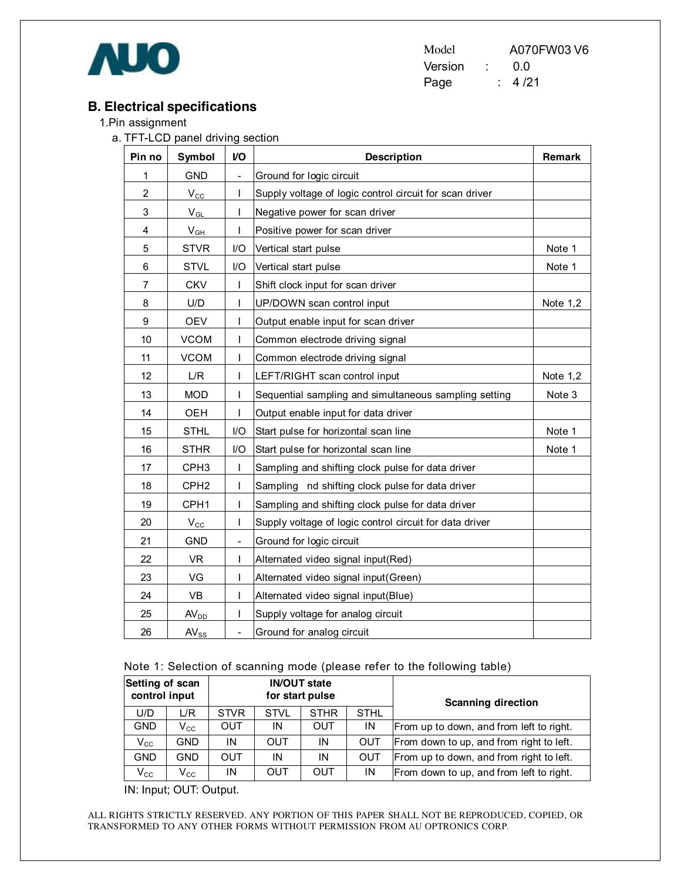

Model A070FW03 V6 Version : 0.0 Page : 4/21

### **B. Electrical specifications**

- 1.Pin assignment
	- a. TFT-LCD panel driving section

| Pin no         | Symbol           | V <sub>O</sub>           | <b>Description</b>                                      | Remark   |
|----------------|------------------|--------------------------|---------------------------------------------------------|----------|
| 1              | <b>GND</b>       | $\overline{\phantom{a}}$ | Ground for logic circuit                                |          |
| $\overline{2}$ | $V_{\rm CC}$     | I                        | Supply voltage of logic control circuit for scan driver |          |
| 3              | $V_{GL}$         | T                        | Negative power for scan driver                          |          |
| 4              | $V_{GH}$         | T                        | Positive power for scan driver                          |          |
| 5              | <b>STVR</b>      | I/O                      | Vertical start pulse                                    | Note 1   |
| 6              | <b>STVL</b>      | I/O                      | Vertical start pulse                                    | Note 1   |
| $\overline{7}$ | <b>CKV</b>       | $\mathsf{l}$             | Shift clock input for scan driver                       |          |
| 8              | U/D              | T                        | UP/DOWN scan control input                              | Note 1,2 |
| 9              | <b>OEV</b>       | $\mathsf{I}$             | Output enable input for scan driver                     |          |
| 10             | <b>VCOM</b>      |                          | Common electrode driving signal                         |          |
| 11             | <b>VCOM</b>      | I                        | Common electrode driving signal                         |          |
| 12             | L/R              | I                        | LEFT/RIGHT scan control input                           | Note 1,2 |
| 13             | <b>MOD</b>       | T                        | Sequential sampling and simultaneous sampling setting   | Note 3   |
| 14             | OEH              | L                        | Output enable input for data driver                     |          |
| 15             | <b>STHL</b>      | $U$                      | Start pulse for horizontal scan line                    | Note 1   |
| 16             | <b>STHR</b>      | I/O                      | Start pulse for horizontal scan line                    | Note 1   |
| 17             | CPH <sub>3</sub> | T                        | Sampling and shifting clock pulse for data driver       |          |
| 18             | CPH <sub>2</sub> | $\mathbf{I}$             | Sampling nd shifting clock pulse for data driver        |          |
| 19             | CPH1             | I                        | Sampling and shifting clock pulse for data driver       |          |
| 20             | $V_{\rm CC}$     | I                        | Supply voltage of logic control circuit for data driver |          |
| 21             | <b>GND</b>       | $\overline{\phantom{a}}$ | Ground for logic circuit                                |          |
| 22             | <b>VR</b>        | L                        | Alternated video signal input(Red)                      |          |
| 23             | VG               | I                        | Alternated video signal input(Green)                    |          |
| 24             | <b>VB</b>        | I                        | Alternated video signal input(Blue)                     |          |
| 25             | AV <sub>DD</sub> | I                        | Supply voltage for analog circuit                       |          |
| 26             | $AV_{SS}$        | $\overline{a}$           | Ground for analog circuit                               |          |

Note 1: Selection of scanning mode (please refer to the following table)

| Setting of scan<br>control input |                            | <b>IN/OUT state</b><br>for start pulse |             |                            |            | <b>Scanning direction</b>                |
|----------------------------------|----------------------------|----------------------------------------|-------------|----------------------------|------------|------------------------------------------|
| U/D                              | L/R                        | <b>STVR</b>                            | <b>STVL</b> | <b>STHR</b><br><b>STHL</b> |            |                                          |
| <b>GND</b>                       | $V_{\rm CC}$               | OUT                                    | IN          | OUT                        | IN         | From up to down, and from left to right. |
| $V_{\rm CC}$                     | <b>GND</b>                 | ΙN                                     | OUT         | IN                         | <b>OUT</b> | From down to up, and from right to left. |
| <b>GND</b>                       | GND                        | OUT                                    | ΙN          | IN                         | <b>OUT</b> | From up to down, and from right to left. |
| $\mathsf{V}_{\mathsf{CC}}$       | $\mathsf{V}_{\mathsf{CC}}$ | ΙN                                     | OUT         | OUT                        | IN         | From down to up, and from left to right. |

IN: Input; OUT: Output.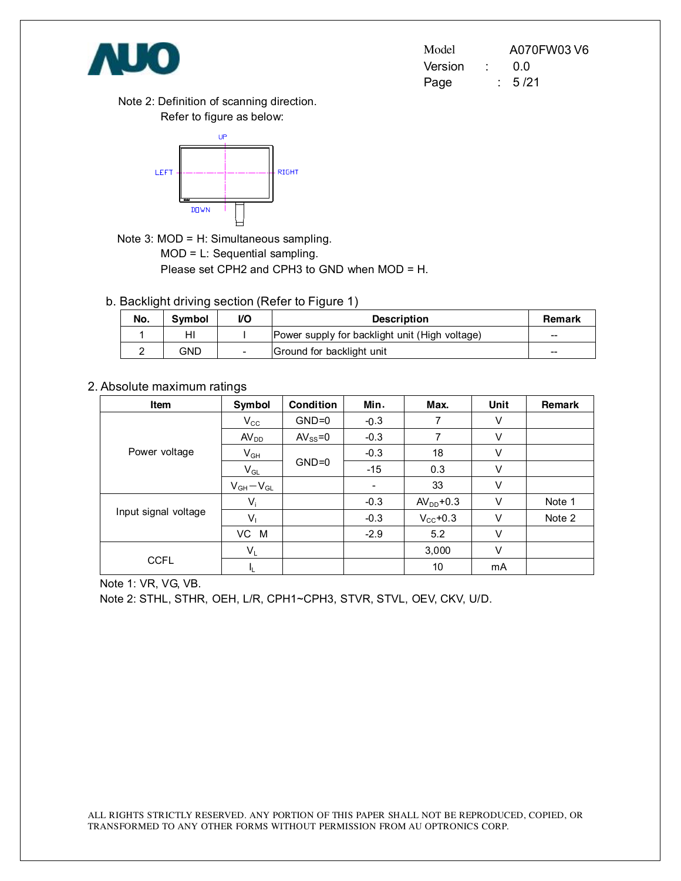

| Model   | A070FW03 V6 |
|---------|-------------|
| Version | 0.0         |
| Page    | : 5/21      |

Note 2: Definition of scanning direction. Refer to figure as below:



Note 3: MOD = H: Simultaneous sampling. MOD = L: Sequential sampling. Please set CPH2 and CPH3 to GND when MOD = H.

b. Backlight driving section (Refer to Figure 1)

| No. | Symbol | VO                       | <b>Description</b>                             | Remark |
|-----|--------|--------------------------|------------------------------------------------|--------|
|     | HI     |                          | Power supply for backlight unit (High voltage) | $- -$  |
|     | GND    | $\overline{\phantom{a}}$ | Ground for backlight unit                      | $- -$  |

#### 2. Absolute maximum ratings

| Item                 | Symbol                     | <b>Condition</b> | Min.                     | Max.                 | Unit | Remark |
|----------------------|----------------------------|------------------|--------------------------|----------------------|------|--------|
|                      | $V_{\rm CC}$               | $GND=0$          | $-0.3$                   | 7                    | V    |        |
|                      | AV <sub>DD</sub>           | $AV_{SS} = 0$    | $-0.3$                   | 7                    | V    |        |
| Power voltage        | $\mathsf{V}_{\mathsf{GH}}$ |                  | $-0.3$                   | 18                   | V    |        |
|                      | $V_{GL}$                   | $GND=0$          | $-15$                    | 0.3                  | V    |        |
|                      | $V_{GH}-V_{GL}$            |                  | $\overline{\phantom{a}}$ | 33                   | V    |        |
| Input signal voltage | $V_i$                      |                  | $-0.3$                   | $AVDD+0.3$           | V    | Note 1 |
|                      | Vı                         |                  | $-0.3$                   | $V_{\text{CC}}$ +0.3 | V    | Note 2 |
|                      | VC M                       |                  | $-2.9$                   | 5.2                  | V    |        |
|                      | $V_L$                      |                  |                          | 3,000                | V    |        |
| <b>CCFL</b>          | IL.                        |                  |                          | 10                   | mA   |        |

Note 1: VR, VG, VB.

Note 2: STHL, STHR, OEH, L/R, CPH1~CPH3, STVR, STVL, OEV, CKV, U/D.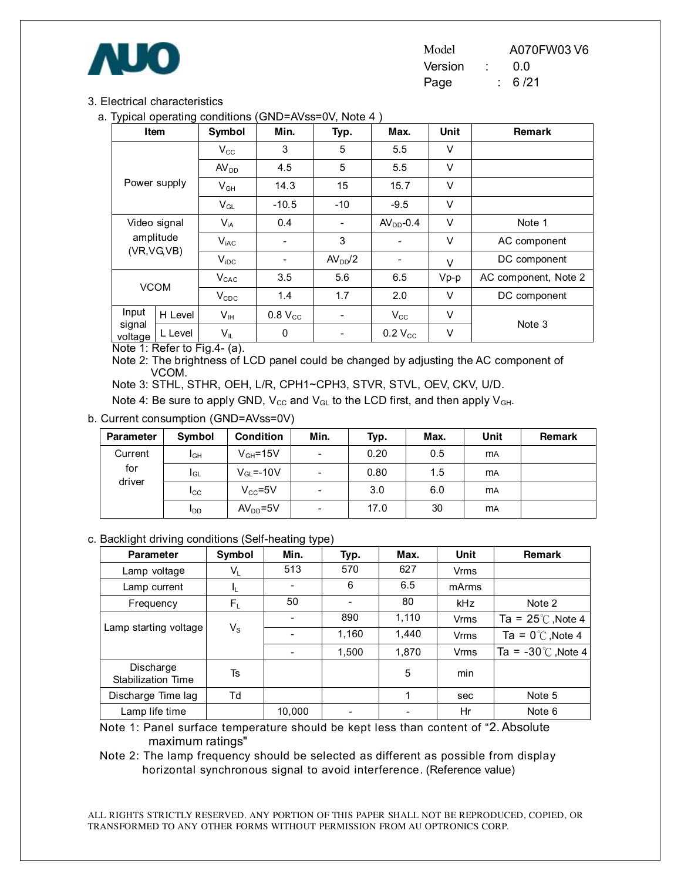

| Model   |  | A070FW03 V6 |
|---------|--|-------------|
| Version |  | 0.0         |
| Page    |  | 6 / 21      |

#### 3. Electrical characteristics

a. Typical operating conditions (GND=AVss=0V, Note 4 )

|                   | Item         | Symbol                                 | Min.                | Typ.                | Max.          | <b>Unit</b> | <b>Remark</b>        |  |
|-------------------|--------------|----------------------------------------|---------------------|---------------------|---------------|-------------|----------------------|--|
|                   |              | $V_{\rm CC}$                           | 3                   | 5                   | 5.5           | V           |                      |  |
|                   |              | AV <sub>DD</sub>                       | 4.5                 | 5                   | 5.5           | V           |                      |  |
|                   | Power supply | $V_{GH}$                               | 14.3                | 15                  | 15.7          | $\vee$      |                      |  |
|                   |              | $V_{GL}$                               | $-10.5$             | $-10$               | $-9.5$        | V           |                      |  |
| Video signal      |              | $V_{iA}$                               | 0.4                 | -                   | $AVDD-0.4$    | V           | Note 1               |  |
|                   | amplitude    | $V_{iAC}$                              | $\blacksquare$      | 3                   |               | V           | AC component         |  |
|                   | (VR,VG,VB)   | $V_{\text{IDC}}$                       |                     | AV <sub>DD</sub> /2 |               | $\vee$      | DC component         |  |
|                   |              | $V_{CAC}$                              | 3.5                 | 5.6                 | 6.5<br>$Vp-p$ |             | AC component, Note 2 |  |
| <b>VCOM</b>       |              | $V_{CDC}$                              | 1.4                 | 1.7                 | 2.0           | V           | DC component         |  |
| Input             | H Level      | V <sub>IH</sub>                        | 0.8 V <sub>cc</sub> |                     | $V_{\rm CC}$  | $\vee$      |                      |  |
| signal<br>voltage | L Level      | $V_{IL}$<br>$- \cdot$<br>$\sim$ $\sim$ | $\mathbf 0$         |                     | $0.2 V_{CC}$  | V           | Note 3               |  |

Note 1: Refer to Fig.4- (a).

Note 2: The brightness of LCD panel could be changed by adjusting the AC component of VCOM.

Note 3: STHL, STHR, OEH, L/R, CPH1~CPH3, STVR, STVL, OEV, CKV, U/D.

Note 4: Be sure to apply GND,  $V_{CC}$  and  $V_{GL}$  to the LCD first, and then apply  $V_{GH}$ .

b. Current consumption (GND=AVss=0V)

| <b>Parameter</b> | Symbol          | <b>Condition</b>       | Min.                     | Typ. | Max. | Unit      | Remark |
|------------------|-----------------|------------------------|--------------------------|------|------|-----------|--------|
| Current          | I <sub>GH</sub> | $V_{GH} = 15V$         | $\overline{\phantom{0}}$ | 0.20 | 0.5  | <b>MA</b> |        |
| for              | I <sub>GL</sub> | $V_{\text{GI}} = -10V$ | $\overline{\phantom{0}}$ | 0.80 | 1.5  | <b>MA</b> |        |
| driver           | Icc             | $V_{CC} = 5V$          | $\overline{\phantom{0}}$ | 3.0  | 6.0  | <b>MA</b> |        |
|                  | <b>I</b> DD     | $AVDD=5V$              | -                        | 17.0 | 30   | <b>MA</b> |        |

#### c. Backlight driving conditions (Self-heating type)

| <b>Parameter</b>                       | Symbol         | Min.   | Typ.  | Max.  | <b>Unit</b> | Remark                       |
|----------------------------------------|----------------|--------|-------|-------|-------------|------------------------------|
| Lamp voltage                           | $V_{L}$        | 513    | 570   | 627   | <b>Vrms</b> |                              |
| Lamp current                           | I <sub>L</sub> |        | 6     | 6.5   | mArms       |                              |
| Frequency                              | $F_L$          | 50     |       | 80    | <b>kHz</b>  | Note 2                       |
|                                        |                |        | 890   | 1,110 | Vrms        | Ta = $25^{\circ}$ C, Note 4  |
| Lamp starting voltage                  | $V_{\rm S}$    |        | 1,160 | 1,440 | <b>Vrms</b> | Ta = $0^{\circ}$ C, Note 4   |
|                                        |                |        | 1,500 | 1,870 | <b>Vrms</b> | Ta = $-30^{\circ}$ C, Note 4 |
| Discharge<br><b>Stabilization Time</b> | Ts             |        |       | 5     | min         |                              |
| Discharge Time lag                     | Td             |        |       |       | sec         | Note 5                       |
| Lamp life time                         |                | 10,000 |       |       | Hr          | Note 6                       |

Note 1: Panel surface temperature should be kept less than content of "2.Absolute maximum ratings"

Note 2: The lamp frequency should be selected as different as possible from display horizontal synchronous signal to avoid interference. (Reference value)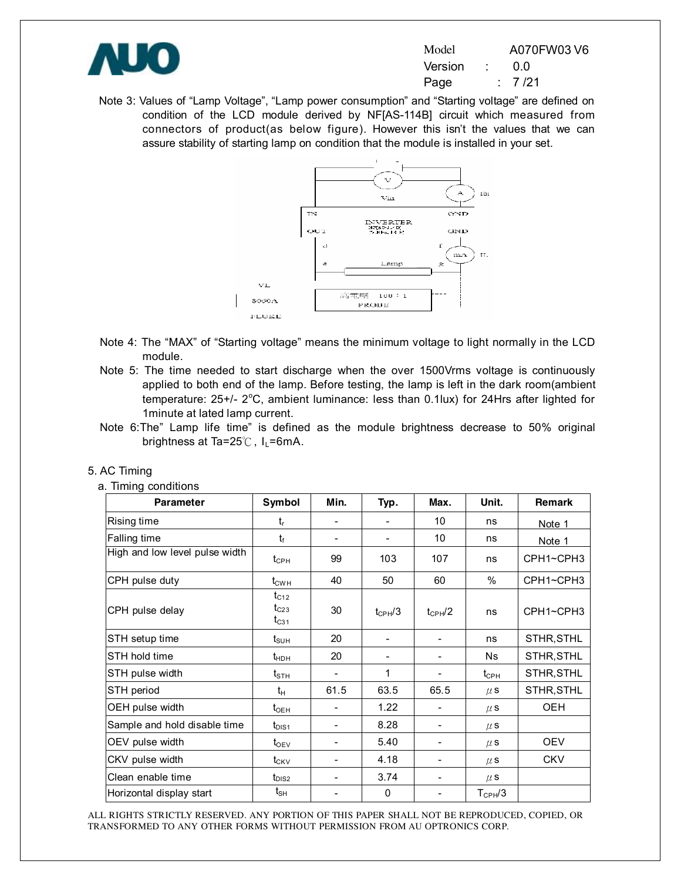

| Model   | A070FW03 V6 |
|---------|-------------|
| Version | 0.0         |
| Page    | : 7/21      |

Note 3: Values of "Lamp Voltage", "Lamp power consumption" and "Starting voltage" are defined on condition of the LCD module derived by NF[AS-114B] circuit which measured from connectors of product(as below figure). However this isn't the values that we can assure stability of starting lamp on condition that the module is installed in your set.



- Note 4: The "MAX" of "Starting voltage" means the minimum voltage to light normally in the LCD module.
- Note 5: The time needed to start discharge when the over 1500Vrms voltage is continuously applied to both end of the lamp. Before testing, the lamp is left in the dark room(ambient temperature: 25+/- 2°C, ambient luminance: less than 0.1lux) for 24Hrs after lighted for 1minute at lated lamp current.
- Note 6:The" Lamp life time" is defined as the module brightness decrease to 50% original brightness at Ta=25 $°C$ , I<sub>L</sub>=6mA.

| <b>Parameter</b>               | Symbol                                 | Min.                     | Typ.                     | Max.                     | Unit.                                  | Remark     |
|--------------------------------|----------------------------------------|--------------------------|--------------------------|--------------------------|----------------------------------------|------------|
| Rising time                    | $t_{r}$                                |                          |                          | 10                       | ns                                     | Note 1     |
| Falling time                   | $t_{\rm f}$                            |                          | $\overline{\phantom{a}}$ | 10                       | ns                                     | Note 1     |
| High and low level pulse width | $t_{\scriptscriptstyle{\mathrm{CPH}}}$ | 99                       | 103                      | 107                      | ns                                     | CPH1~CPH3  |
| CPH pulse duty                 | $t_{\text{CWH}}$                       | 40                       | 50                       | 60                       | %                                      | CPH1~CPH3  |
| CPH pulse delay                | $t_{C12}$<br>$t_{C23}$<br>$t_{C31}$    | 30                       | $t_{CPH}/3$              | $t_{CPH}/2$              | ns                                     | CPH1~CPH3  |
| STH setup time                 | $t_{\scriptscriptstyle\text{SUH}}$     | 20                       |                          |                          | ns                                     | STHR, STHL |
| STH hold time                  | $t_{HDH}$                              | 20                       | $\overline{\phantom{a}}$ |                          | <b>Ns</b>                              | STHR, STHL |
| STH pulse width                | $\mathsf{t}_{\texttt{STH}}$            |                          | 1                        |                          | $t_{\scriptscriptstyle{\mathrm{CPH}}}$ | STHR, STHL |
| STH period                     | $t_H$                                  | 61.5                     | 63.5                     | 65.5                     | $\mu$ S                                | STHR, STHL |
| OEH pulse width                | $t_{\rm OEH}$                          |                          | 1.22                     |                          | $\mu$ S                                | <b>OEH</b> |
| Sample and hold disable time   | $t_{\text{DIS1}}$                      |                          | 8.28                     |                          | $\mu$ S                                |            |
| OEV pulse width                | $t_{\rm OEV}$                          |                          | 5.40                     |                          | $\mu$ S                                | <b>OEV</b> |
| CKV pulse width                | $t_{CKV}$                              | $\overline{\phantom{0}}$ | 4.18                     | $\blacksquare$           | $\mu$ S                                | <b>CKV</b> |
| Clean enable time              | $t_{DIS2}$                             | ۰                        | 3.74                     | $\overline{\phantom{a}}$ | $\mu$ S                                |            |
| Horizontal display start       | $t_{\sf SH}$                           |                          | 0                        |                          | $T_{\text{CPH}}/3$                     |            |

#### 5. AC Timing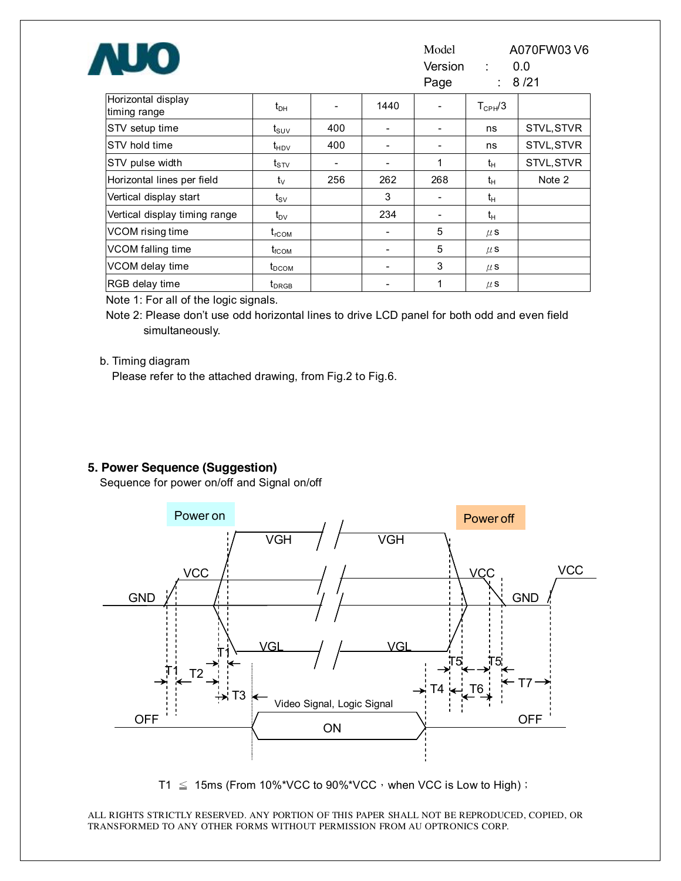| <b>AUO</b>                         |                                      |     |      | Model<br>Version :<br>Page |              | A070FW03 V6<br>0.0<br>8/21 |
|------------------------------------|--------------------------------------|-----|------|----------------------------|--------------|----------------------------|
| Horizontal display<br>timing range | $t_{\text{DH}}$                      |     | 1440 |                            | $T_{CPH}$ /3 |                            |
| STV setup time                     | $t_{\scriptscriptstyle\mathrm{SUV}}$ | 400 |      |                            | ns           | STVL, STVR                 |
| STV hold time                      | $t_{HDV}$                            | 400 |      |                            | ns           | STVL, STVR                 |
| STV pulse width                    | $t_{\scriptstyle\mathrm{STV}}$       |     |      | 1                          | $t_{H}$      | STVL, STVR                 |
| Horizontal lines per field         | $t_{\rm V}$                          | 256 | 262  | 268                        | $t_H$        | Note 2                     |
| Vertical display start             | $t_{\scriptscriptstyle\text{SV}}$    |     | 3    |                            | $t_H$        |                            |
| Vertical display timing range      | $t_{\text{DV}}$                      |     | 234  |                            | $t_H$        |                            |
| VCOM rising time                   | $t_{\rm rCOM}$                       |     |      | 5                          | $\mu$ S      |                            |
| VCOM falling time                  | $t_{\scriptscriptstyle\text{fCOM}}$  |     |      | 5                          | $\mu$ S      |                            |
| VCOM delay time                    | t <sub>DCOM</sub>                    |     |      | 3                          | $\mu$ S      |                            |
| RGB delay time                     | t <sub>DRGB</sub>                    |     |      | 1                          | $\mu$ S      |                            |

Note 1: For all of the logic signals.

Note 2: Please don't use odd horizontal lines to drive LCD panel for both odd and even field simultaneously.

#### b. Timing diagram

Please refer to the attached drawing, from Fig.2 to Fig.6.

#### **5. Power Sequence (Suggestion)**

Sequence for power on/off and Signal on/off



T1  $\leq$  15ms (From 10%\*VCC to 90%\*VCC, when VCC is Low to High);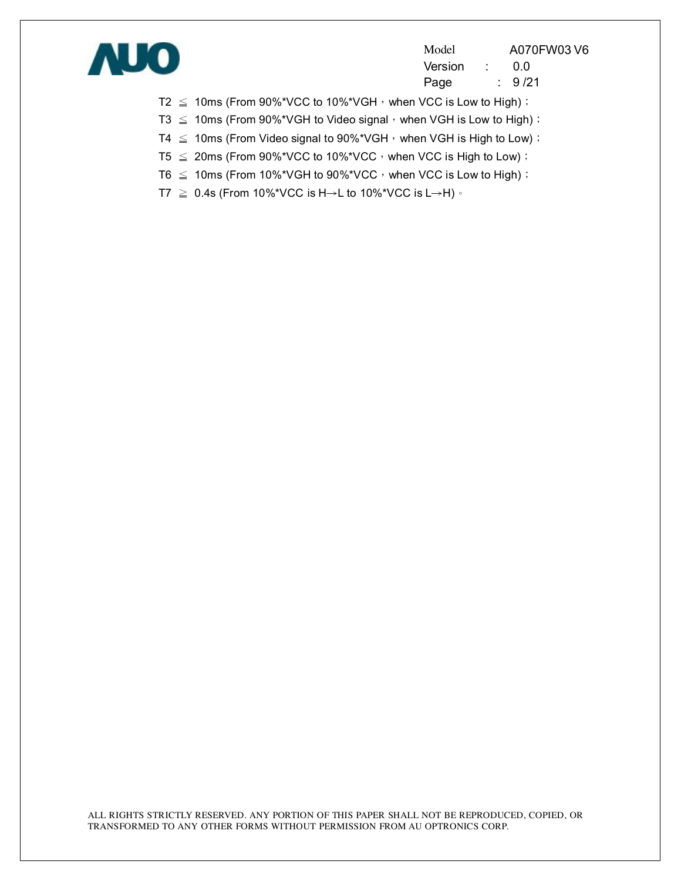

Model A070FW03 V6 Version : 0.0 Page : 9/21

T2  $\leq$  10ms (From 90%\*VCC to 10%\*VGH, when VCC is Low to High);

T3  $\leq$  10ms (From 90%\*VGH to Video signal, when VGH is Low to High);

- T4  $\leq$  10ms (From Video signal to 90%\*VGH, when VGH is High to Low);
- T5  $\leq$  20ms (From 90%\*VCC to 10%\*VCC, when VCC is High to Low);
- T6  $\leq$  10ms (From 10%\*VGH to 90%\*VCC, when VCC is Low to High);
- T7  $\geq$  0.4s (From 10%\*VCC is H→L to 10%\*VCC is L→H)  $\cdot$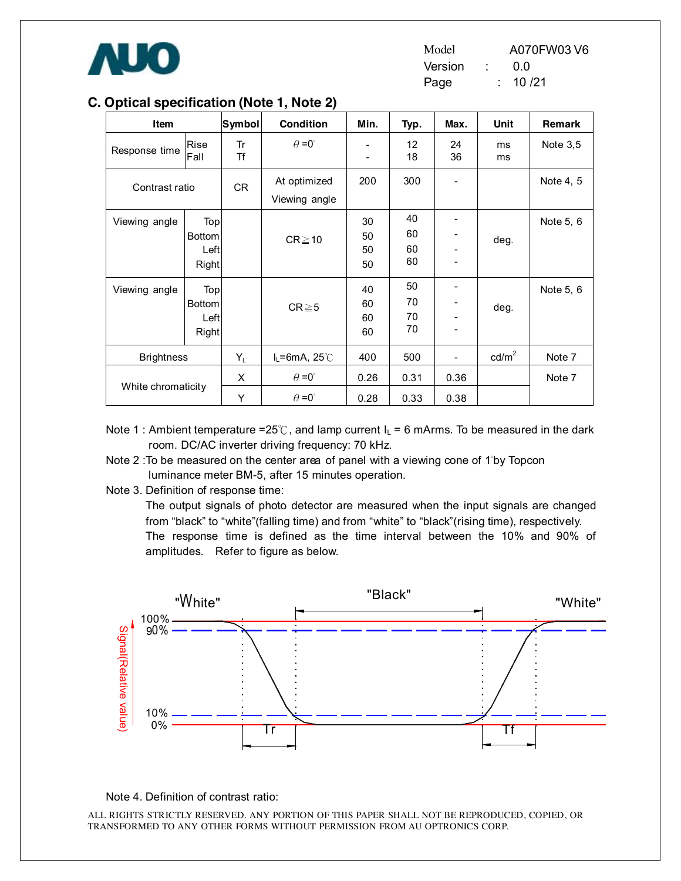

| Model   |  | A070FW03 V6 |
|---------|--|-------------|
| Version |  | 0.0         |
| Page    |  | 10 /21      |

| Item               |                                              | Symbol   | <b>Condition</b>              | Min.                                                 | Typ.                  | Max.     | Unit            | <b>Remark</b> |
|--------------------|----------------------------------------------|----------|-------------------------------|------------------------------------------------------|-----------------------|----------|-----------------|---------------|
| Response time      | <b>Rise</b><br>Fall                          | Tr<br>Τf | $\theta = 0^{\circ}$          | $\overline{\phantom{a}}$<br>$\overline{\phantom{a}}$ | 12 <sup>2</sup><br>18 | 24<br>36 | ms<br>ms        | Note 3,5      |
| Contrast ratio     |                                              | CR       | At optimized<br>Viewing angle | 200                                                  | 300                   |          |                 | Note 4, 5     |
| Viewing angle      | Top<br><b>Bottom</b><br>Left<br><b>Right</b> |          | $CR \ge 10$                   | 30<br>50<br>50<br>50                                 | 40<br>60<br>60<br>60  |          | deg.            | Note 5, 6     |
| Viewing angle      | Top<br><b>Bottom</b><br>Left<br>Right        |          | $CR \ge 5$                    | 40<br>60<br>60<br>60                                 | 50<br>70<br>70<br>70  |          | deg.            | Note 5, 6     |
| <b>Brightness</b>  |                                              | $Y_L$    | $I_L = 6mA$ , 25°C            | 400                                                  | 500                   | -        | $\text{cd/m}^2$ | Note 7        |
|                    |                                              | $\times$ | $\theta = 0^{\circ}$          | 0.26                                                 | 0.31                  | 0.36     |                 | Note 7        |
| White chromaticity |                                              | Υ        | $\theta = 0^{\circ}$          | 0.28                                                 | 0.33                  | 0.38     |                 |               |

#### **C. Optical specification (Note 1, Note 2)**

- Note 1 : Ambient temperature =25°C, and lamp current  $I_L$  = 6 mArms. To be measured in the dark room. DC/AC inverter driving frequency: 70 kHz.
- Note 2 :To be measured on the center area of panel with a viewing cone of 1°by Topcon luminance meter BM-5, after 15 minutes operation.
- Note 3. Definition of response time:

The output signals of photo detector are measured when the input signals are changed from "black" to "white"(falling time) and from "white" to "black"(rising time), respectively. The response time is defined as the time interval between the 10% and 90% of amplitudes. Refer to figure as below.



Note 4. Definition of contrast ratio: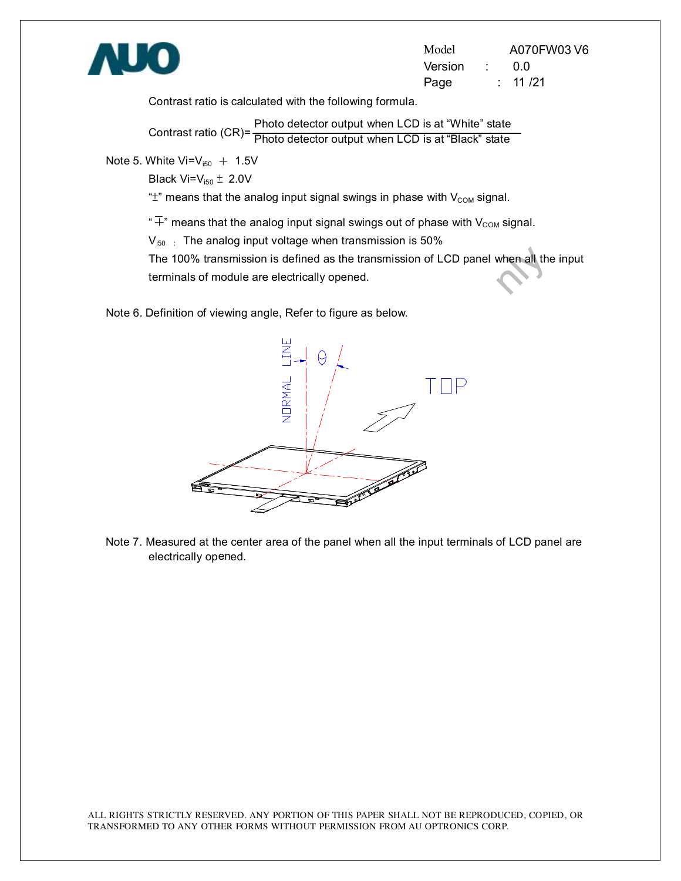

Model A070FW03 V6 Version : 0.0 Page : 11 /21

Contrast ratio is calculated with the following formula.

Contrast ratio (CR)= Photo detector output when LCD is at "Black" statePhoto detector output when LCD is at "White" state

Note 5. White  $Vi=V_{150}$  + 1.5V

Black  $Vi=V_{150} \pm 2.0V$ 

" $\pm$ " means that the analog input signal swings in phase with  $V_{COM}$  signal.

" $\overline{+}$ " means that the analog input signal swings out of phase with V<sub>COM</sub> signal.

 $V_{150}$  : The analog input voltage when transmission is 50%

The 100% transmission is defined as the transmission of LCD panel when all the input<br>terminals of module are electrically opened. terminals of module are electrically opened.

Note 6. Definition of viewing angle, Refer to figure as below.



Note 7. Measured at the center area of the panel when all the input terminals of LCD panel are electrically opened.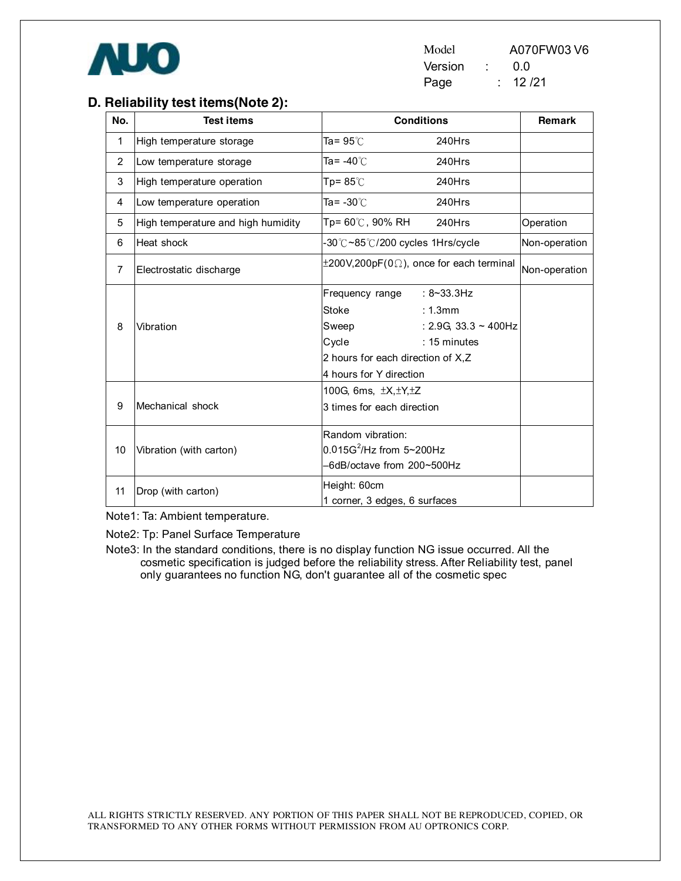

| Model   |  | A070FW03 V6 |
|---------|--|-------------|
| Version |  | 0 Q         |
| Page    |  | 12/21       |

#### **D. Reliability test items(Note 2):**

| No.            | <b>Test items</b>                  |                                   | <b>Conditions</b>                                      | Remark        |
|----------------|------------------------------------|-----------------------------------|--------------------------------------------------------|---------------|
| 1              | High temperature storage           | Ta= 95℃                           | 240Hrs                                                 |               |
| $\overline{2}$ | Low temperature storage            | Ta= -40℃                          | 240Hrs                                                 |               |
| 3              | High temperature operation         | Tp= 85 $°C$                       | 240Hrs                                                 |               |
| 4              | Low temperature operation          | Ta= $-30^{\circ}$ C               | 240Hrs                                                 |               |
| 5              | High temperature and high humidity | Tp= 60℃, 90% RH                   | 240Hrs                                                 | Operation     |
| 6              | Heat shock                         | -30℃~85℃/200 cycles 1Hrs/cycle    |                                                        | Non-operation |
| 7              | Electrostatic discharge            |                                   | $\pm 200$ V,200pF(0 $\Omega$ ), once for each terminal | Non-operation |
|                |                                    | Frequency range                   | $: 8 - 33.3$ Hz                                        |               |
|                |                                    | Stoke                             | : 1.3mm                                                |               |
| 8              | Vibration                          | Sweep                             | : 2.9G, 33.3 $\sim$ 400Hz                              |               |
|                |                                    | Cycle                             | $: 15$ minutes                                         |               |
|                |                                    | 2 hours for each direction of X,Z |                                                        |               |
|                |                                    | 4 hours for Y direction           |                                                        |               |
|                |                                    | 100G, 6ms, $\pm X, \pm Y, \pm Z$  |                                                        |               |
| 9              | Mechanical shock                   | 3 times for each direction        |                                                        |               |
|                |                                    | Random vibration:                 |                                                        |               |
| 10             | Vibration (with carton)            | $0.015G^2$ /Hz from 5~200Hz       |                                                        |               |
|                |                                    | -6dB/octave from 200~500Hz        |                                                        |               |
| 11             | Drop (with carton)                 | Height: 60cm                      |                                                        |               |
|                |                                    | 1 corner, 3 edges, 6 surfaces     |                                                        |               |

Note1: Ta: Ambient temperature.

Note2: Tp: Panel Surface Temperature

Note3: In the standard conditions, there is no display function NG issue occurred. All the cosmetic specification is judged before the reliability stress. After Reliability test, panel only guarantees no function NG, don't guarantee all of the cosmetic spec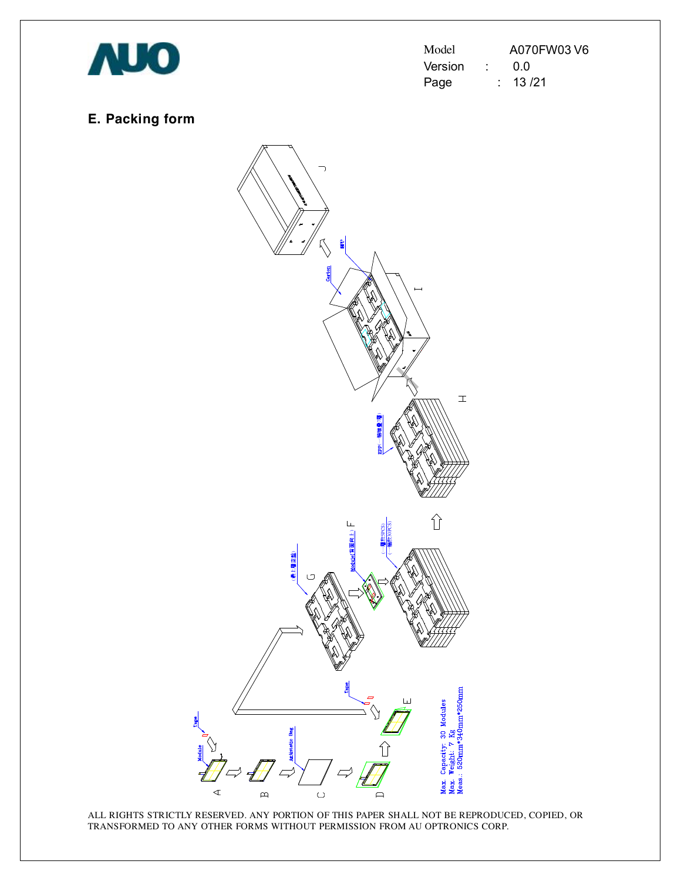

| Model   |  | A070FW03 V6 |
|---------|--|-------------|
| Version |  | 0.0         |
| Page    |  | : 13/21     |

## **E. Packing form**

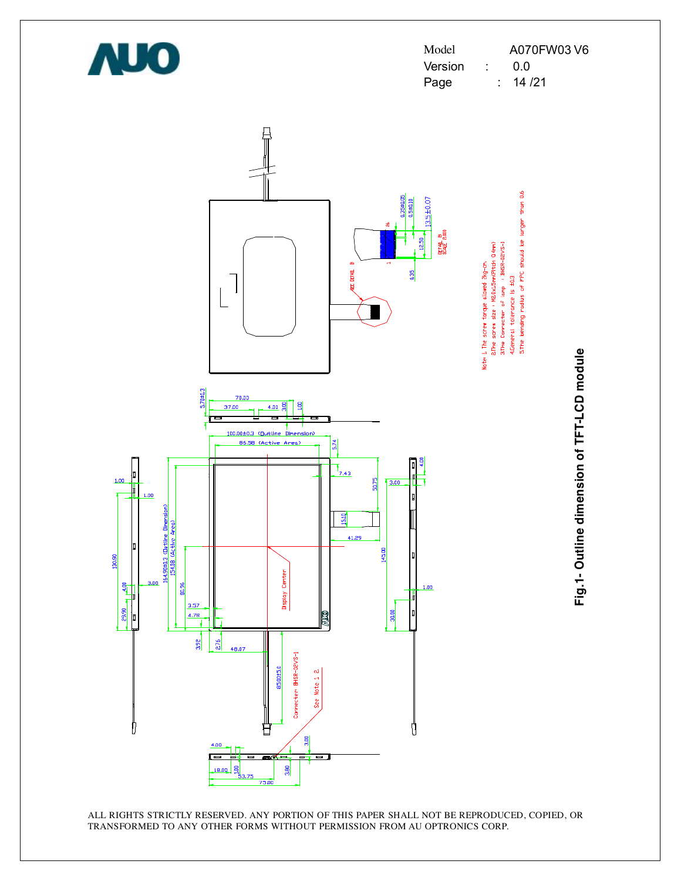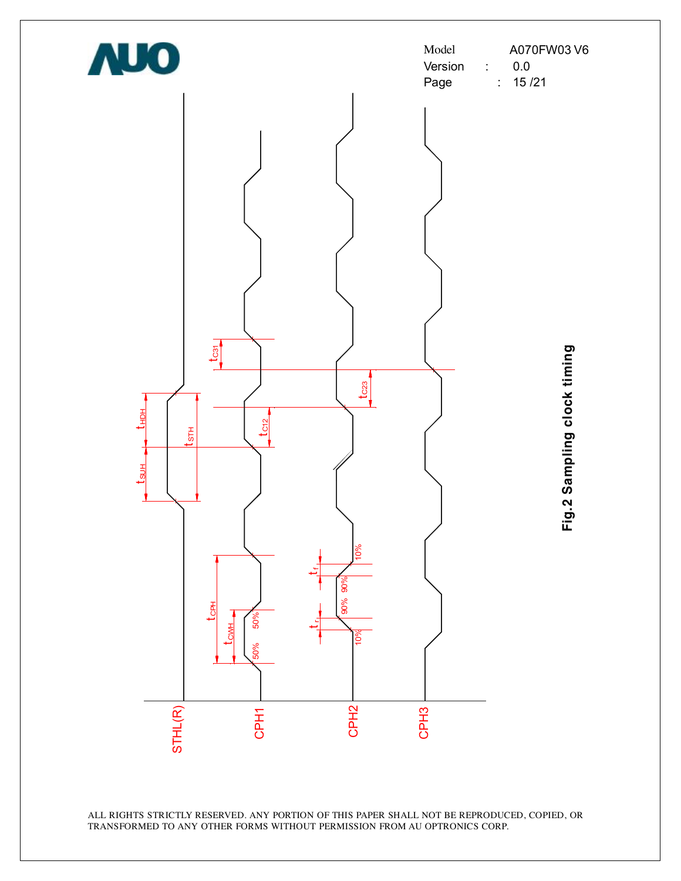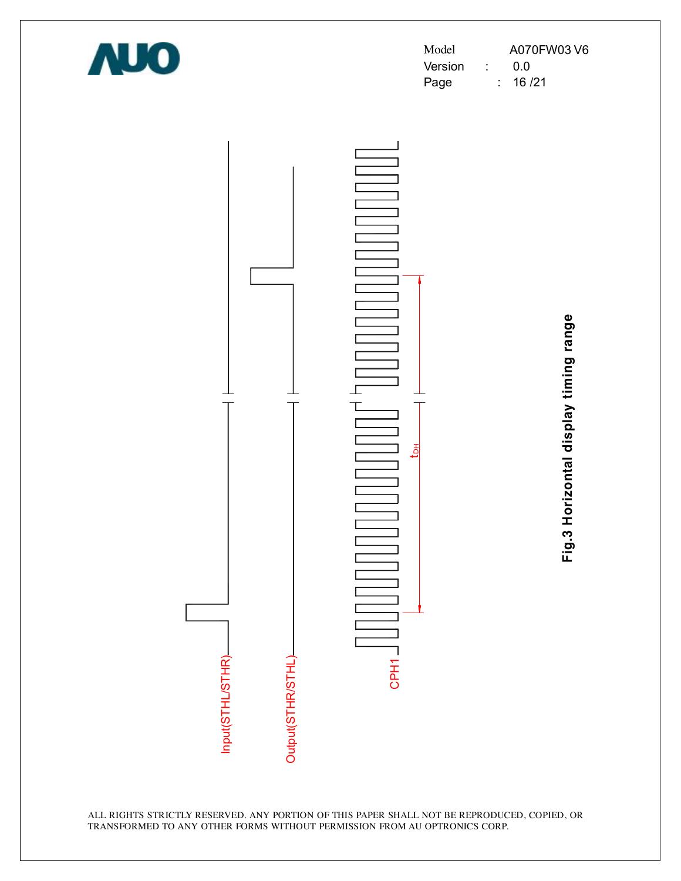

| Model   |  | A070FW03 V6 |
|---------|--|-------------|
| Version |  | 0.0         |
| Page    |  | 16 /21      |



**Fig.3 H oriz o ntal dis pla y timin g ra n**

**g e**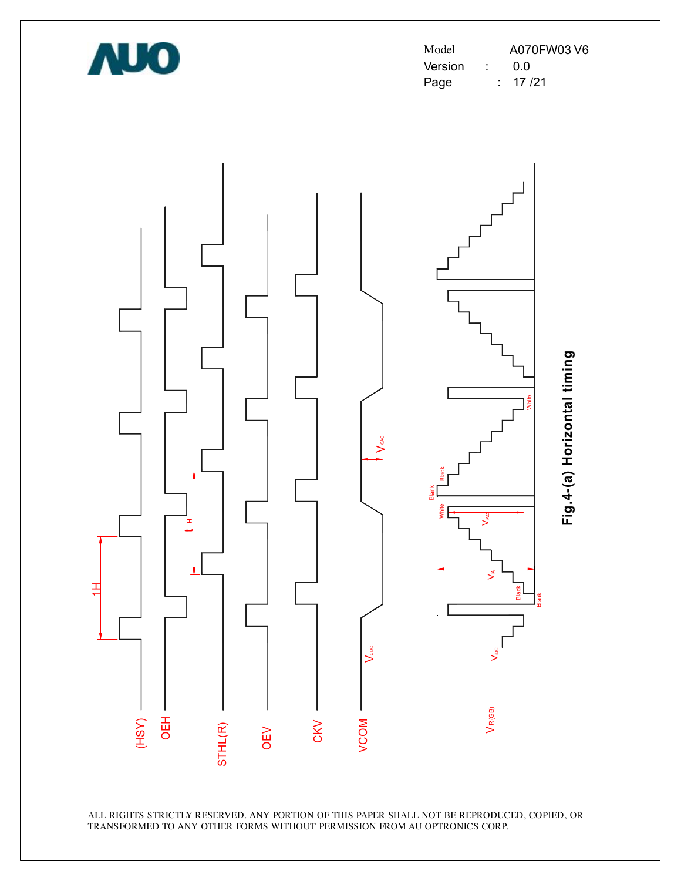

Model A070FW03 V6 Version : 0.0 Page : 17 /21

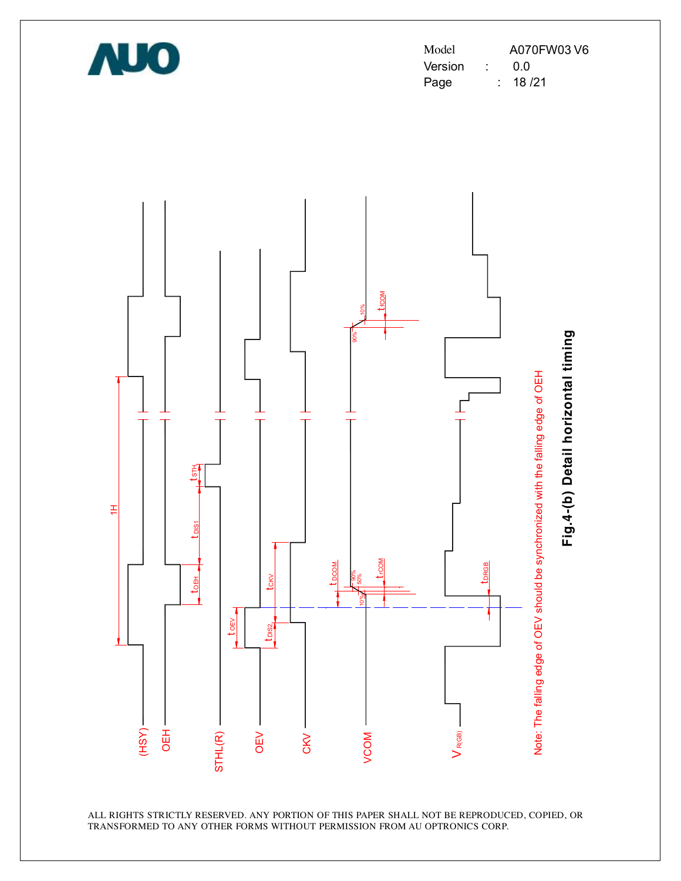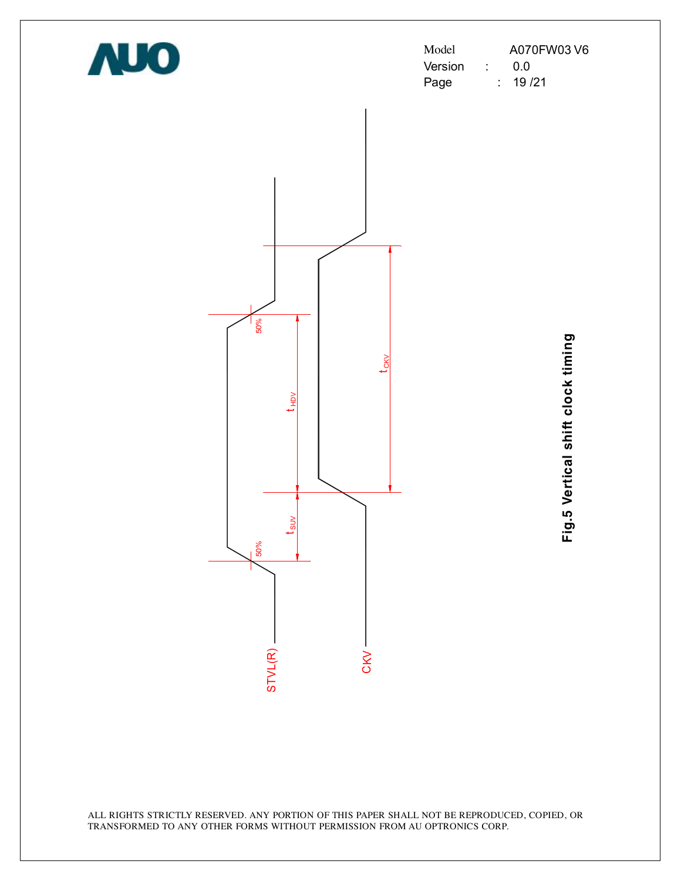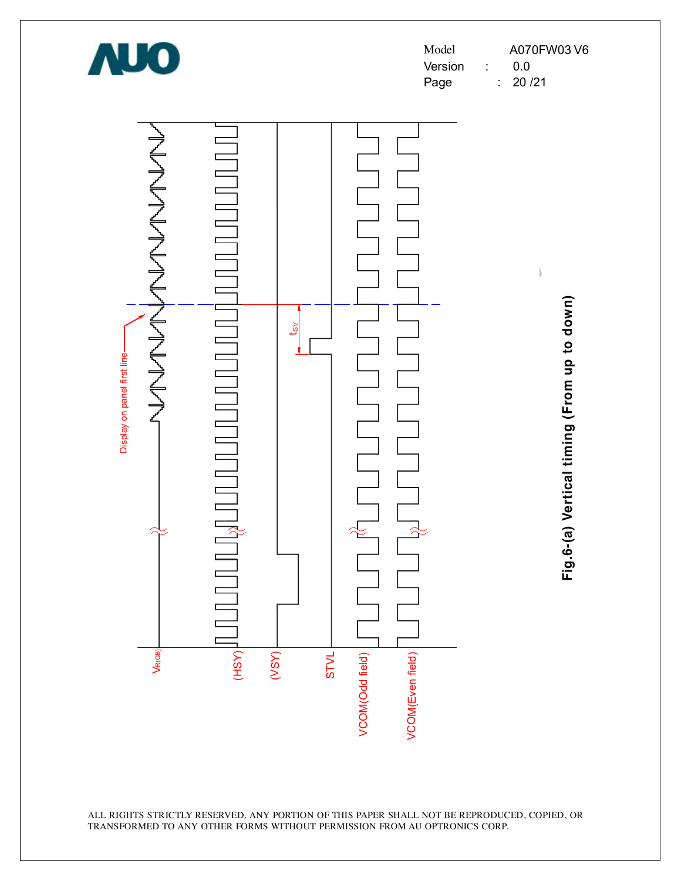![](_page_21_Picture_0.jpeg)

| Model   |  | A070FW03 V6 |
|---------|--|-------------|
| Version |  | 0 Q         |
| Page    |  | : 20/21     |

![](_page_21_Figure_2.jpeg)